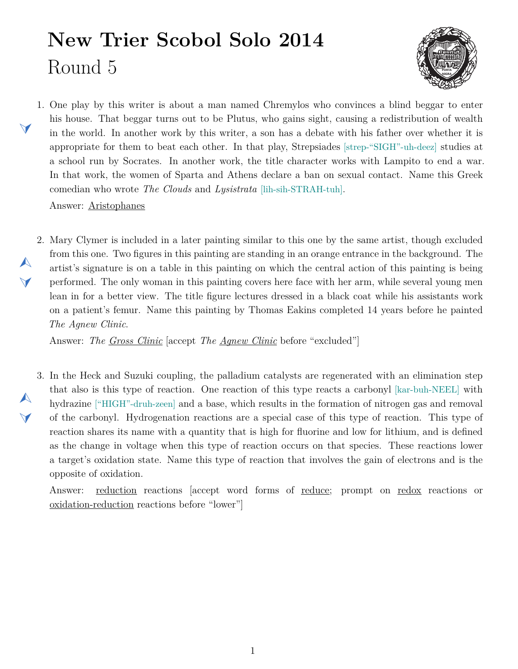## **New Trier Scobol Solo 2014** Round 5



<span id="page-0-1"></span>1. One play by this writer is about a man named Chremylos who convinces a blind beggar to enter his house. That beggar turns out to be Plutus, who gains sight, causing a redistribution of wealth in the world. In another work by this writer, a son has a debate with his father over whether it is appropriate for them to beat each other. In that play, Strepsiades [strep-"SIGH"-uh-deez] studies at a school run by Socrates. In another work, the title character works with Lampito to end a war. In that work, the women of Sparta and Athens declare a ban on sexual contact. Name this Greek comedian who wrote *The Clouds* and *Lysistrata* [lih-sih-STRAH-tuh].

Answer: Aristophanes

 $\blacktriangleleft$ 

 $\blacktriangle$ 

 $\blacktriangledown$ 

 $\blacktriangle$ 

 $\blacktriangledown$ 

<span id="page-0-0"></span>2. Mary Clymer is included in a later painting similar to this one by the same artist, though excluded from this one. Two figures in this painting are standing in an orange entrance in the background. The artist's signature is on a table in this painting on which the central action of this painting is being performed. The only woman in this painting covers here face with her arm, while several young men lean in for a better view. The title figure lectures dressed in a black coat while his assistants work on a patient's femur. Name this painting by Thomas Eakins completed 14 years before he painted *The Agnew Clinic*.

Answer: *The Gross Clinic* [accept *The Agnew Clinic* before "excluded"]

<span id="page-0-2"></span>3. In the Heck and Suzuki coupling, the palladium catalysts are regenerated with an elimination step that also is this type of reaction. One reaction of this type reacts a carbonyl [kar-buh-NEEL] with hydrazine ["HIGH"-druh-zeen] and a base, which results in the formation of nitrogen gas and removal of the carbonyl. Hydrogenation reactions are a special case of this type of reaction. This type of reaction shares its name with a quantity that is high for fluorine and low for lithium, and is defined as the change in voltage when this type of reaction occurs on that species. These reactions lower a target's oxidation state. Name this type of reaction that involves the gain of electrons and is the opposite of oxidation.

Answer: reduction reactions [accept word forms of reduce; prompt on redox reactions or oxidation-reduction reactions before "lower"]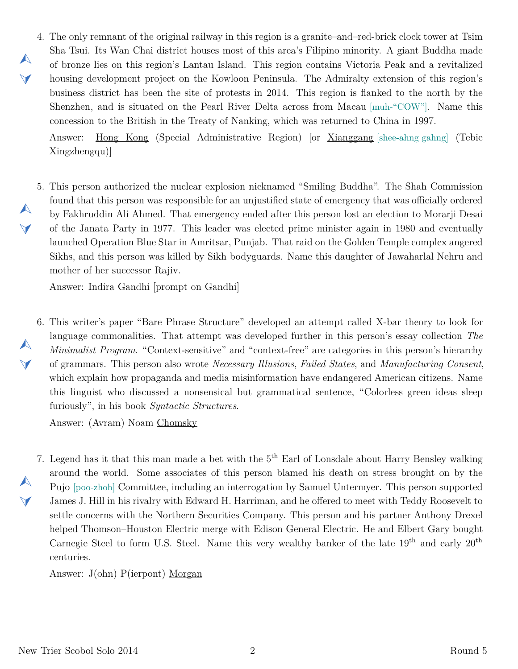<span id="page-1-0"></span>4. The only remnant of the original railway in this region is a granite–and–red-brick clock tower at Tsim Sha Tsui. Its Wan Chai district houses most of this area's Filipino minority. A giant Buddha made of bronze lies on this region's Lantau Island. This region contains Victoria Peak and a revitalized housing development project on the Kowloon Peninsula. The Admiralty extension of this region's business district has been the site of protests in 2014. This region is flanked to the north by the Shenzhen, and is situated on the Pearl River Delta across from Macau [muh-"COW"]. Name this concession to the British in the Treaty of Nanking, which was returned to China in 1997.

Answer: Hong Kong (Special Administrative Region) [or Xianggang [shee-ahng gahng] (Tebie Xingzhengqu)]

<span id="page-1-1"></span>5. This person authorized the nuclear explosion nicknamed "Smiling Buddha". The Shah Commission found that this person was responsible for an unjustified state of emergency that was officially ordered by Fakhruddin Ali Ahmed. That emergency ended after this person lost an election to Morarji Desai of the Janata Party in 1977. This leader was elected prime minister again in 1980 and eventually launched Operation Blue Star in Amritsar, Punjab. That raid on the Golden Temple complex angered Sikhs, and this person was killed by Sikh bodyguards. Name this daughter of Jawaharlal Nehru and mother of her successor Rajiv.

Answer: Indira Gandhi [prompt on Gandhi]

 $\blacktriangle$ 

 $\blacktriangleleft$ 

 $\blacktriangle$ 

 $\blacktriangledown$ 

 $\blacktriangle$ 

 $\blacktriangledown$ 

 $\blacktriangle$ 

 $\blacktriangledown$ 

<span id="page-1-2"></span>6. This writer's paper "Bare Phrase Structure" developed an attempt called X-bar theory to look for language commonalities. That attempt was developed further in this person's essay collection *The Minimalist Program*. "Context-sensitive" and "context-free" are categories in this person's hierarchy of grammars. This person also wrote *Necessary Illusions*, *Failed States*, and *Manufacturing Consent*, which explain how propaganda and media misinformation have endangered American citizens. Name this linguist who discussed a nonsensical but grammatical sentence, "Colorless green ideas sleep furiously", in his book *Syntactic Structures*.

Answer: (Avram) Noam Chomsky

<span id="page-1-3"></span>7. Legend has it that this man made a bet with the 5<sup>th</sup> Earl of Lonsdale about Harry Bensley walking around the world. Some associates of this person blamed his death on stress brought on by the Pujo [poo-zhoh] Committee, including an interrogation by Samuel Untermyer. This person supported James J. Hill in his rivalry with Edward H. Harriman, and he offered to meet with Teddy Roosevelt to settle concerns with the Northern Securities Company. This person and his partner Anthony Drexel helped Thomson–Houston Electric merge with Edison General Electric. He and Elbert Gary bought Carnegie Steel to form U.S. Steel. Name this very wealthy banker of the late  $19<sup>th</sup>$  and early  $20<sup>th</sup>$ centuries.

Answer: J(ohn) P(ierpont) Morgan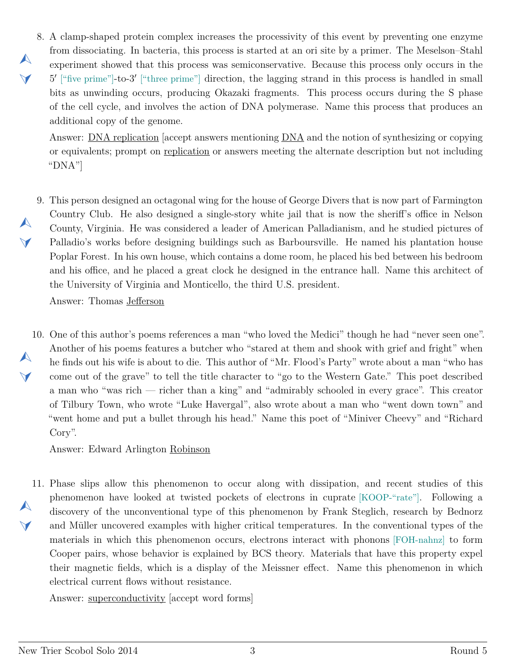<span id="page-2-0"></span>8. A clamp-shaped protein complex increases the processivity of this event by preventing one enzyme from dissociating. In bacteria, this process is started at an ori site by a primer. The Meselson–Stahl experiment showed that this process was semiconservative. Because this process only occurs in the <sup>5'</sup> ["five prime"]-to-3' ["three prime"] direction, the lagging strand in this process is handled in small bits as unwinding occurs, producing Okazaki fragments. This process occurs during the S phase of the cell cycle, and involves the action of DNA polymerase. Name this process that produces an additional copy of the genome.

Answer: DNA replication [accept answers mentioning DNA and the notion of synthesizing or copying or equivalents; prompt on replication or answers meeting the alternate description but not including "DNA"]

<span id="page-2-1"></span>9. This person designed an octagonal wing for the house of George Divers that is now part of Farmington  $\blacktriangledown$ Country Club. He also designed a single-story white jail that is now the sheriff's office in Nelson County, Virginia. He was considered a leader of American Palladianism, and he studied pictures of Palladio's works before designing buildings such as Barboursville. He named his plantation house Poplar Forest. In his own house, which contains a dome room, he placed his bed between his bedroom and his office, and he placed a great clock he designed in the entrance hall. Name this architect of the University of Virginia and Monticello, the third U.S. president.

Answer: Thomas Jefferson

 $\blacktriangle$ 

 $\blacktriangleleft$ 

 $\blacktriangle$ 

<span id="page-2-2"></span>10. One of this author's poems references a man "who loved the Medici" though he had "never seen one".  $\blacktriangle$  $\vee$ Another of his poems features a butcher who "stared at them and shook with grief and fright" when he finds out his wife is about to die. This author of "Mr. Flood's Party" wrote about a man "who has come out of the grave" to tell the title character to "go to the Western Gate." This poet described a man who "was rich — richer than a king" and "admirably schooled in every grace". This creator of Tilbury Town, who wrote "Luke Havergal", also wrote about a man who "went down town" and "went home and put a bullet through his head." Name this poet of "Miniver Cheevy" and "Richard Cory".

Answer: Edward Arlington Robinson

<span id="page-2-3"></span>11. Phase slips allow this phenomenon to occur along with dissipation, and recent studies of this  $\blacktriangle$  $\blacktriangledown$ phenomenon have looked at twisted pockets of electrons in cuprate [KOOP-"rate"]. Following a discovery of the unconventional type of this phenomenon by Frank Steglich, research by Bednorz and Müller uncovered examples with higher critical temperatures. In the conventional types of the materials in which this phenomenon occurs, electrons interact with phonons [FOH-nahnz] to form Cooper pairs, whose behavior is explained by BCS theory. Materials that have this property expel their magnetic fields, which is a display of the Meissner effect. Name this phenomenon in which electrical current flows without resistance.

Answer: superconductivity [accept word forms]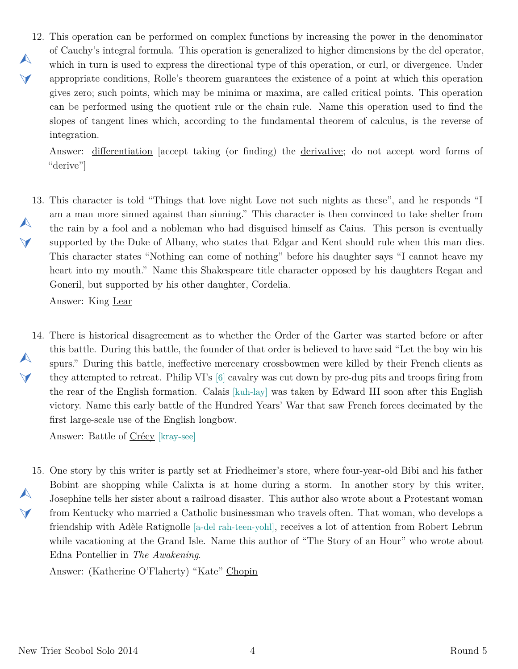<span id="page-3-0"></span>12. This operation can be performed on complex functions by increasing the power in the denominator  $\blacktriangle$  $\blacktriangleleft$ of Cauchy's integral formula. This operation is generalized to higher dimensions by the del operator, which in turn is used to express the directional type of this operation, or curl, or divergence. Under appropriate conditions, Rolle's theorem guarantees the existence of a point at which this operation gives zero; such points, which may be minima or maxima, are called critical points. This operation can be performed using the quotient rule or the chain rule. Name this operation used to find the slopes of tangent lines which, according to the fundamental theorem of calculus, is the reverse of integration.

Answer: differentiation [accept taking (or finding) the derivative; do not accept word forms of "derive"]

<span id="page-3-1"></span>13. This character is told "Things that love night Love not such nights as these", and he responds "I  $\blacktriangle$  $\blacktriangledown$ am a man more sinned against than sinning." This character is then convinced to take shelter from the rain by a fool and a nobleman who had disguised himself as Caius. This person is eventually supported by the Duke of Albany, who states that Edgar and Kent should rule when this man dies. This character states "Nothing can come of nothing" before his daughter says "I cannot heave my heart into my mouth." Name this Shakespeare title character opposed by his daughters Regan and Goneril, but supported by his other daughter, Cordelia.

Answer: King Lear

<span id="page-3-2"></span>14. There is historical disagreement as to whether the Order of the Garter was started before or after  $\blacktriangle$  $\blacktriangledown$ this battle. During this battle, the founder of that order is believed to have said "Let the boy win his spurs." During this battle, ineffective mercenary crossbowmen were killed by their French clients as they attempted to retreat. Philip VI's [6] cavalry was cut down by pre-dug pits and troops firing from the rear of the English formation. Calais [kuh-lay] was taken by Edward III soon after this English victory. Name this early battle of the Hundred Years' War that saw French forces decimated by the first large-scale use of the English longbow.

Answer: Battle of Crécy [kray-see]

<span id="page-3-3"></span>15. One story by this writer is partly set at Friedheimer's store, where four-year-old Bibi and his father  $\blacktriangle$  $\vee$ Bobint are shopping while Calixta is at home during a storm. In another story by this writer, Josephine tells her sister about a railroad disaster. This author also wrote about a Protestant woman from Kentucky who married a Catholic businessman who travels often. That woman, who develops a friendship with Adèle Ratignolle [a-del rah-teen-yohl], receives a lot of attention from Robert Lebrun while vacationing at the Grand Isle. Name this author of "The Story of an Hour" who wrote about Edna Pontellier in *The Awakening*.

Answer: (Katherine O'Flaherty) "Kate" Chopin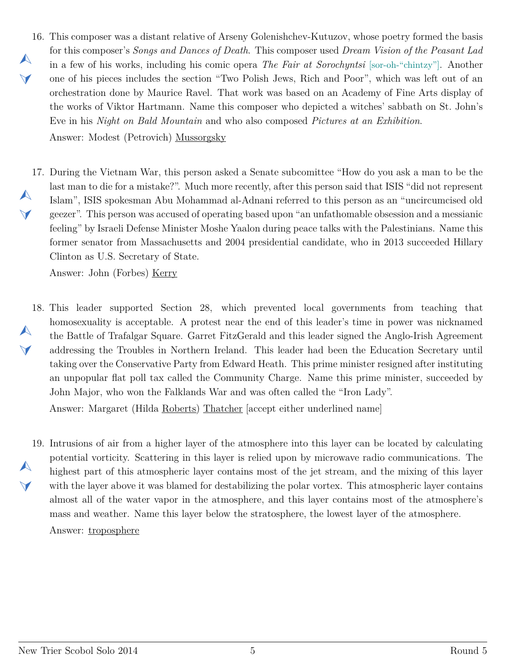- <span id="page-4-0"></span>16. This composer was a distant relative of Arseny Golenishchev-Kutuzov, whose poetry formed the basis  $\blacktriangle$  $\blacktriangleleft$ for this composer's *Songs and Dances of Death*. This composer used *Dream Vision of the Peasant Lad* in a few of his works, including his comic opera *The Fair at Sorochyntsi* [sor-oh-"chintzy"]. Another one of his pieces includes the section "Two Polish Jews, Rich and Poor", which was left out of an orchestration done by Maurice Ravel. That work was based on an Academy of Fine Arts display of the works of Viktor Hartmann. Name this composer who depicted a witches' sabbath on St. John's Eve in his *Night on Bald Mountain* and who also composed *Pictures at an Exhibition*. Answer: Modest (Petrovich) Mussorgsky
- <span id="page-4-1"></span>17. During the Vietnam War, this person asked a Senate subcomittee "How do you ask a man to be the  $\blacktriangle$  $\blacktriangledown$ last man to die for a mistake?". Much more recently, after this person said that ISIS "did not represent Islam", ISIS spokesman Abu Mohammad al-Adnani referred to this person as an "uncircumcised old geezer". This person was accused of operating based upon "an unfathomable obsession and a messianic feeling" by Israeli Defense Minister Moshe Yaalon during peace talks with the Palestinians. Name this former senator from Massachusetts and 2004 presidential candidate, who in 2013 succeeded Hillary Clinton as U.S. Secretary of State.

Answer: John (Forbes) Kerry

<span id="page-4-2"></span>18. This leader supported Section 28, which prevented local governments from teaching that  $\blacktriangle$  $\vee$ homosexuality is acceptable. A protest near the end of this leader's time in power was nicknamed the Battle of Trafalgar Square. Garret FitzGerald and this leader signed the Anglo-Irish Agreement addressing the Troubles in Northern Ireland. This leader had been the Education Secretary until taking over the Conservative Party from Edward Heath. This prime minister resigned after instituting an unpopular flat poll tax called the Community Charge. Name this prime minister, succeeded by John Major, who won the Falklands War and was often called the "Iron Lady".

Answer: Margaret (Hilda Roberts) Thatcher [accept either underlined name]

<span id="page-4-3"></span>19. Intrusions of air from a higher layer of the atmosphere into this layer can be located by calculating  $\blacktriangle$  $\vee$ potential vorticity. Scattering in this layer is relied upon by microwave radio communications. The highest part of this atmospheric layer contains most of the jet stream, and the mixing of this layer with the layer above it was blamed for destabilizing the polar vortex. This atmospheric layer contains almost all of the water vapor in the atmosphere, and this layer contains most of the atmosphere's mass and weather. Name this layer below the stratosphere, the lowest layer of the atmosphere. Answer: troposphere